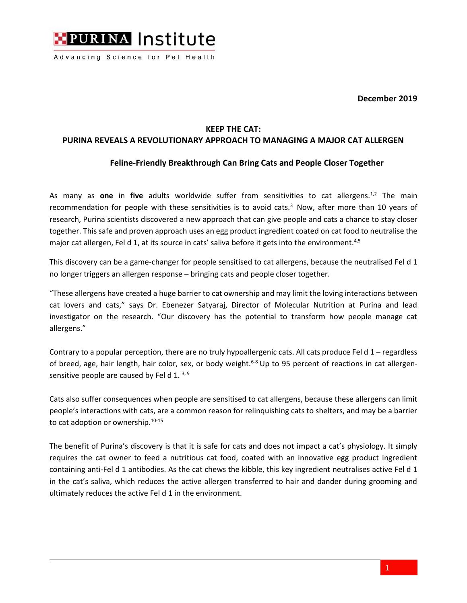

Advancing Science for Pet Health

**December 2019**

## **KEEP THE CAT:**

## **PURINA REVEALS A REVOLUTIONARY APPROACH TO MANAGING A MAJOR CAT ALLERGEN**

## **Feline-Friendly Breakthrough Can Bring Cats and People Closer Together**

As many as **one** in five adults worldwide suffer from sensitivities to cat allergens.<sup>1,2</sup> The main recommendation for people with these sensitivities is to avoid cats.<sup>3</sup> Now, after more than 10 years of research, Purina scientists discovered a new approach that can give people and cats a chance to stay closer together. This safe and proven approach uses an egg product ingredient coated on cat food to neutralise the major cat allergen, Fel d 1, at its source in cats' saliva before it gets into the environment.<sup>4,5</sup>

This discovery can be a game-changer for people sensitised to cat allergens, because the neutralised Fel d 1 no longer triggers an allergen response – bringing cats and people closer together.

"These allergens have created a huge barrier to cat ownership and may limit the loving interactions between cat lovers and cats," says Dr. Ebenezer Satyaraj, Director of Molecular Nutrition at Purina and lead investigator on the research. "Our discovery has the potential to transform how people manage cat allergens."

Contrary to a popular perception, there are no truly hypoallergenic cats. All cats produce Fel d 1 – regardless of breed, age, hair length, hair color, sex, or body weight.<sup>6-8</sup> Up to 95 percent of reactions in cat allergensensitive people are caused by Fel d 1.  $3, 9$ 

Cats also suffer consequences when people are sensitised to cat allergens, because these allergens can limit people's interactions with cats, are a common reason for relinquishing cats to shelters, and may be a barrier to cat adoption or ownership.10-15

The benefit of Purina's discovery is that it is safe for cats and does not impact a cat's physiology. It simply requires the cat owner to feed a nutritious cat food, coated with an innovative egg product ingredient containing anti-Fel d 1 antibodies. As the cat chews the kibble, this key ingredient neutralises active Fel d 1 in the cat's saliva, which reduces the active allergen transferred to hair and dander during grooming and ultimately reduces the active Fel d 1 in the environment.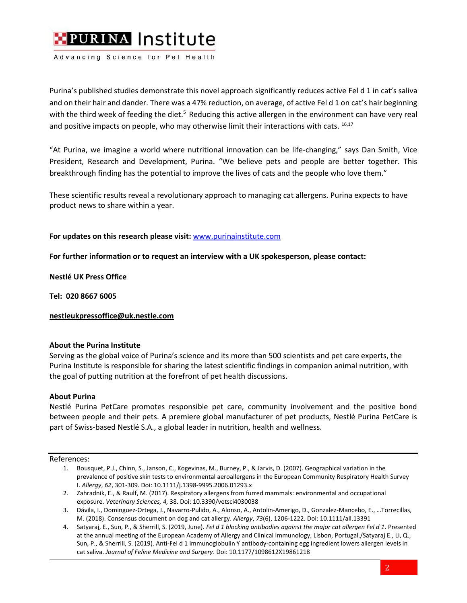

Advancing Science for Pet Health

Purina's published studies demonstrate this novel approach significantly reduces active Fel d 1 in cat's saliva and on their hair and dander. There was a 47% reduction, on average, of active Fel d 1 on cat's hair beginning with the third week of feeding the diet.<sup>5</sup> Reducing this active allergen in the environment can have very real and positive impacts on people, who may otherwise limit their interactions with cats.  $16,17$ 

"At Purina, we imagine a world where nutritional innovation can be life-changing," says Dan Smith, Vice President, Research and Development, Purina. "We believe pets and people are better together. This breakthrough finding has the potential to improve the lives of cats and the people who love them."

These scientific results reveal a revolutionary approach to managing cat allergens. Purina expects to have product news to share within a year.

**For updates on this research please visit:** [www.purinainstitute.com](http://www.purinainstitute.com/)

**For further information or to request an interview with a UK spokesperson, please contact:** 

**Nestlé UK Press Office**

**Tel: 020 8667 6005**

**[nestleukpressoffice@uk.nestle.com](mailto:nestleukpressoffice@uk.nestle.com)**

### **About the Purina Institute**

Serving as the global voice of Purina's science and its more than 500 scientists and pet care experts, the Purina Institute is responsible for sharing the latest scientific findings in companion animal nutrition, with the goal of putting nutrition at the forefront of pet health discussions.

### **About Purina**

Nestlé Purina PetCare promotes responsible pet care, community involvement and the positive bond between people and their pets. A premiere global manufacturer of pet products, Nestlé Purina PetCare is part of Swiss-based Nestlé S.A., a global leader in nutrition, health and wellness.

#### References:

- 1. Bousquet, P.J., Chinn, S., Janson, C., Kogevinas, M., Burney, P., & Jarvis, D. (2007). Geographical variation in the prevalence of positive skin tests to environmental aeroallergens in the European Community Respiratory Health Survey I. *Allergy*, *62*, 301-309. Doi: 10.1111/j.1398-9995.2006.01293.x
- 2. Zahradnik, E., & Raulf, M. (2017). Respiratory allergens from furred mammals: environmental and occupational exposure. *Veterinary Sciences, 4,*38. Doi: 10.3390/vetsci4030038
- 3. Dávila, I., Dominguez-Ortega, J., Navarro-Pulido, A., Alonso, A., Antolin-Amerigo, D., Gonzalez-Mancebo, E., …Torrecillas, M. (2018). Consensus document on dog and cat allergy. *Allergy*, *73*(6), 1206-1222. Doi: 10.1111/all.13391
- 4. Satyaraj, E., Sun, P., & Sherrill, S. (2019, June). *Fel d 1 blocking antibodies against the major cat allergen Fel d 1*. Presented at the annual meeting of the European Academy of Allergy and Clinical Immunology, Lisbon, Portugal./Satyaraj E., Li, Q., Sun, P., & Sherrill, S. (2019). Anti-Fel d 1 immunoglobulin Y antibody-containing egg ingredient lowers allergen levels in cat saliva. *Journal of Feline Medicine and Surgery*. Doi: 10.1177/1098612X19861218